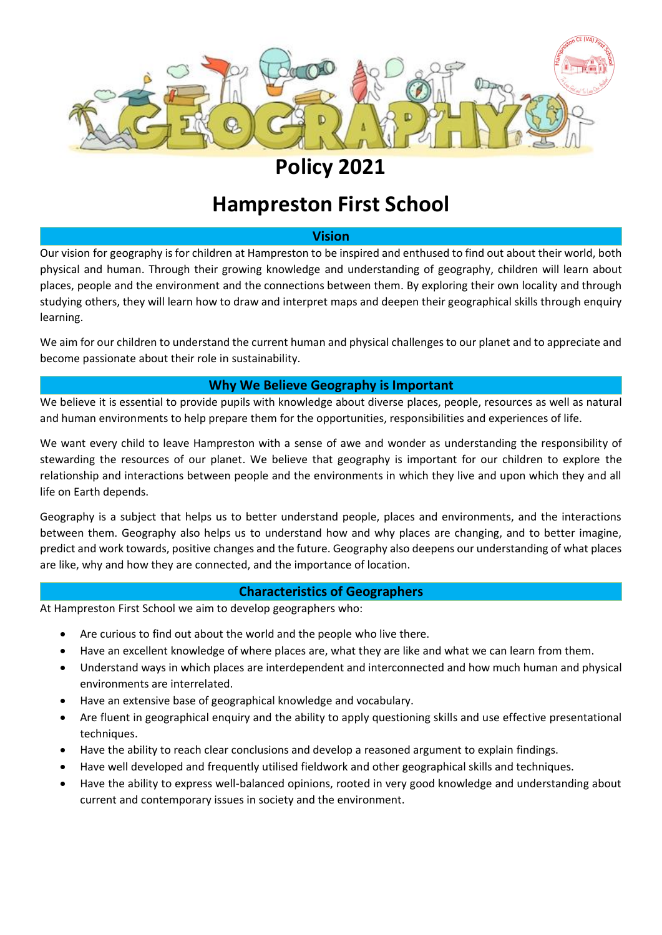

# **Policy 2021**

# **Hampreston First School**

## **Vision**

Our vision for geography is for children at Hampreston to be inspired and enthused to find out about their world, both physical and human. Through their growing knowledge and understanding of geography, children will learn about places, people and the environment and the connections between them. By exploring their own locality and through studying others, they will learn how to draw and interpret maps and deepen their geographical skills through enquiry learning.

We aim for our children to understand the current human and physical challenges to our planet and to appreciate and become passionate about their role in sustainability.

## **Why We Believe Geography is Important**

We believe it is essential to provide pupils with knowledge about diverse places, people, resources as well as natural and human environments to help prepare them for the opportunities, responsibilities and experiences of life.

We want every child to leave Hampreston with a sense of awe and wonder as understanding the responsibility of stewarding the resources of our planet. We believe that geography is important for our children to explore the relationship and interactions between people and the environments in which they live and upon which they and all life on Earth depends.

Geography is a subject that helps us to better understand people, places and environments, and the interactions between them. Geography also helps us to understand how and why places are changing, and to better imagine, predict and work towards, positive changes and the future. Geography also deepens our understanding of what places are like, why and how they are connected, and the importance of location.

## **Characteristics of Geographers**

At Hampreston First School we aim to develop geographers who:

- Are curious to find out about the world and the people who live there.
- Have an excellent knowledge of where places are, what they are like and what we can learn from them.
- Understand ways in which places are interdependent and interconnected and how much human and physical environments are interrelated.
- Have an extensive base of geographical knowledge and vocabulary.
- Are fluent in geographical enquiry and the ability to apply questioning skills and use effective presentational techniques.
- Have the ability to reach clear conclusions and develop a reasoned argument to explain findings.
- Have well developed and frequently utilised fieldwork and other geographical skills and techniques.
- Have the ability to express well-balanced opinions, rooted in very good knowledge and understanding about current and contemporary issues in society and the environment.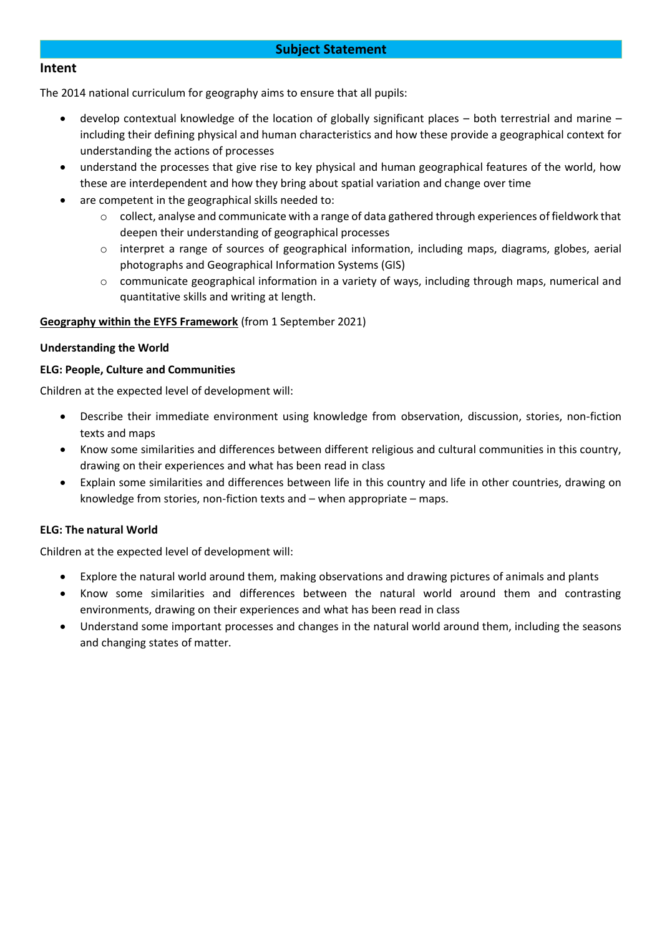## **Subject Statement**

### **Intent**

The 2014 national curriculum for geography aims to ensure that all pupils:

- develop contextual knowledge of the location of globally significant places both terrestrial and marine including their defining physical and human characteristics and how these provide a geographical context for understanding the actions of processes
- understand the processes that give rise to key physical and human geographical features of the world, how these are interdependent and how they bring about spatial variation and change over time
- are competent in the geographical skills needed to:
	- o collect, analyse and communicate with a range of data gathered through experiences of fieldwork that deepen their understanding of geographical processes
	- o interpret a range of sources of geographical information, including maps, diagrams, globes, aerial photographs and Geographical Information Systems (GIS)
	- o communicate geographical information in a variety of ways, including through maps, numerical and quantitative skills and writing at length.

### **Geography within the EYFS Framework** (from 1 September 2021)

#### **Understanding the World**

### **ELG: People, Culture and Communities**

Children at the expected level of development will:

- Describe their immediate environment using knowledge from observation, discussion, stories, non-fiction texts and maps
- Know some similarities and differences between different religious and cultural communities in this country, drawing on their experiences and what has been read in class
- Explain some similarities and differences between life in this country and life in other countries, drawing on knowledge from stories, non-fiction texts and – when appropriate – maps.

#### **ELG: The natural World**

Children at the expected level of development will:

- Explore the natural world around them, making observations and drawing pictures of animals and plants
- Know some similarities and differences between the natural world around them and contrasting environments, drawing on their experiences and what has been read in class
- Understand some important processes and changes in the natural world around them, including the seasons and changing states of matter.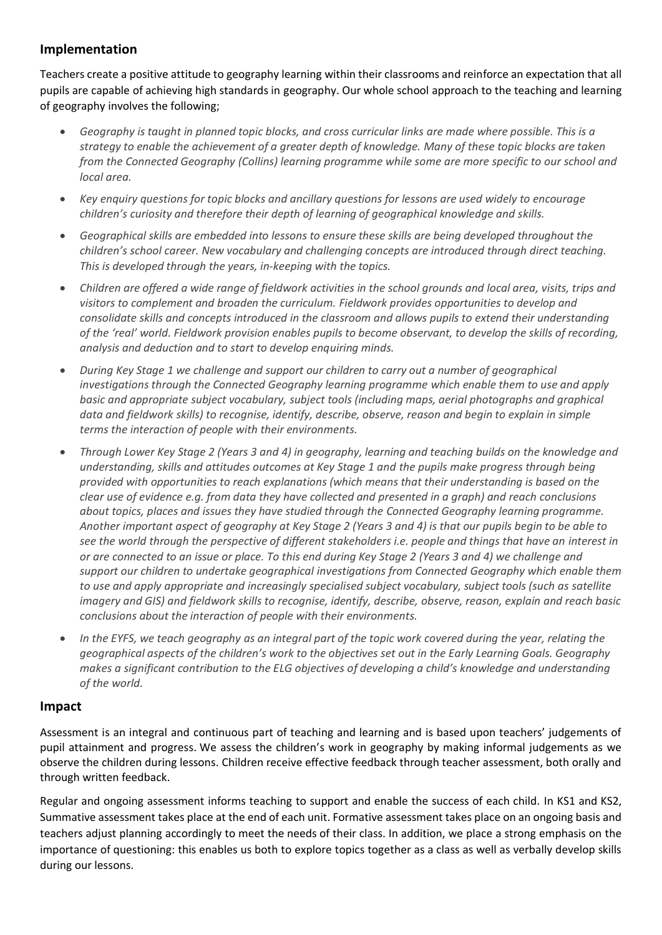# **Implementation**

Teachers create a positive attitude to geography learning within their classrooms and reinforce an expectation that all pupils are capable of achieving high standards in geography. Our whole school approach to the teaching and learning of geography involves the following;

- *Geography is taught in planned topic blocks, and cross curricular links are made where possible. This is a strategy to enable the achievement of a greater depth of knowledge. Many of these topic blocks are taken from the Connected Geography (Collins) learning programme while some are more specific to our school and local area.*
- *Key enquiry questions for topic blocks and ancillary questions for lessons are used widely to encourage children's curiosity and therefore their depth of learning of geographical knowledge and skills.*
- *Geographical skills are embedded into lessons to ensure these skills are being developed throughout the children's school career. New vocabulary and challenging concepts are introduced through direct teaching. This is developed through the years, in-keeping with the topics.*
- *Children are offered a wide range of fieldwork activities in the school grounds and local area, visits, trips and visitors to complement and broaden the curriculum. Fieldwork provides opportunities to develop and consolidate skills and concepts introduced in the classroom and allows pupils to extend their understanding of the 'real' world. Fieldwork provision enables pupils to become observant, to develop the skills of recording, analysis and deduction and to start to develop enquiring minds.*
- *During Key Stage 1 we challenge and support our children to carry out a number of geographical investigations through the Connected Geography learning programme which enable them to use and apply basic and appropriate subject vocabulary, subject tools (including maps, aerial photographs and graphical data and fieldwork skills) to recognise, identify, describe, observe, reason and begin to explain in simple terms the interaction of people with their environments.*
- *Through Lower Key Stage 2 (Years 3 and 4) in geography, learning and teaching builds on the knowledge and understanding, skills and attitudes outcomes at Key Stage 1 and the pupils make progress through being provided with opportunities to reach explanations (which means that their understanding is based on the clear use of evidence e.g. from data they have collected and presented in a graph) and reach conclusions about topics, places and issues they have studied through the Connected Geography learning programme. Another important aspect of geography at Key Stage 2 (Years 3 and 4) is that our pupils begin to be able to see the world through the perspective of different stakeholders i.e. people and things that have an interest in or are connected to an issue or place. To this end during Key Stage 2 (Years 3 and 4) we challenge and support our children to undertake geographical investigations from Connected Geography which enable them to use and apply appropriate and increasingly specialised subject vocabulary, subject tools (such as satellite imagery and GIS) and fieldwork skills to recognise, identify, describe, observe, reason, explain and reach basic conclusions about the interaction of people with their environments.*
- *In the EYFS, we teach geography as an integral part of the topic work covered during the year, relating the geographical aspects of the children's work to the objectives set out in the Early Learning Goals. Geography makes a significant contribution to the ELG objectives of developing a child's knowledge and understanding of the world.*

# **Impact**

Assessment is an integral and continuous part of teaching and learning and is based upon teachers' judgements of pupil attainment and progress. We assess the children's work in geography by making informal judgements as we observe the children during lessons. Children receive effective feedback through teacher assessment, both orally and through written feedback.

Regular and ongoing assessment informs teaching to support and enable the success of each child. In KS1 and KS2, Summative assessment takes place at the end of each unit. Formative assessment takes place on an ongoing basis and teachers adjust planning accordingly to meet the needs of their class. In addition, we place a strong emphasis on the importance of questioning: this enables us both to explore topics together as a class as well as verbally develop skills during our lessons.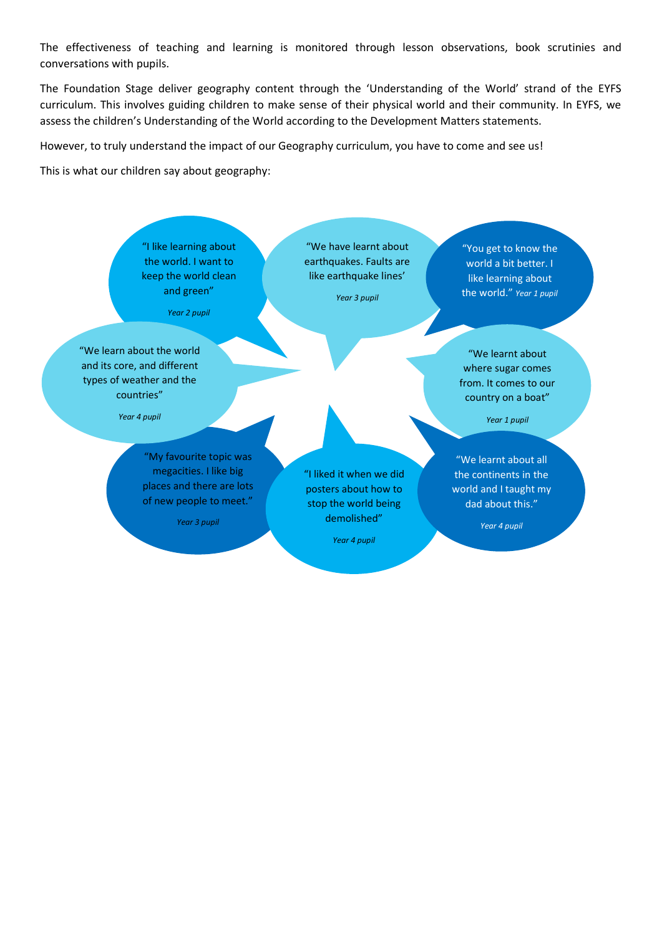The effectiveness of teaching and learning is monitored through lesson observations, book scrutinies and conversations with pupils.

The Foundation Stage deliver geography content through the 'Understanding of the World' strand of the EYFS curriculum. This involves guiding children to make sense of their physical world and their community. In EYFS, we assess the children's Understanding of the World according to the Development Matters statements.

However, to truly understand the impact of our Geography curriculum, you have to come and see us!

This is what our children say about geography:

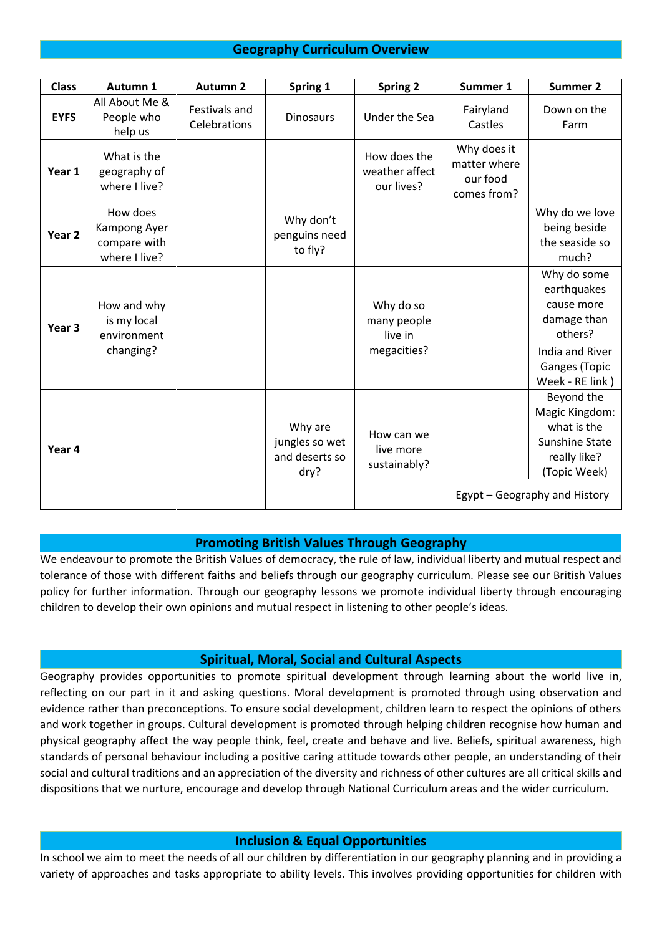# **Geography Curriculum Overview**

| <b>Class</b>      | Autumn 1                                                  | <b>Autumn 2</b>               | Spring 1                                            | <b>Spring 2</b>                                    | Summer 1                                               | <b>Summer 2</b>                                                                                                                |
|-------------------|-----------------------------------------------------------|-------------------------------|-----------------------------------------------------|----------------------------------------------------|--------------------------------------------------------|--------------------------------------------------------------------------------------------------------------------------------|
| <b>EYFS</b>       | All About Me &<br>People who<br>help us                   | Festivals and<br>Celebrations | <b>Dinosaurs</b>                                    | Under the Sea                                      | Fairyland<br>Castles                                   | Down on the<br>Farm                                                                                                            |
| Year 1            | What is the<br>geography of<br>where I live?              |                               |                                                     | How does the<br>weather affect<br>our lives?       | Why does it<br>matter where<br>our food<br>comes from? |                                                                                                                                |
| Year <sub>2</sub> | How does<br>Kampong Ayer<br>compare with<br>where I live? |                               | Why don't<br>penguins need<br>to fly?               |                                                    |                                                        | Why do we love<br>being beside<br>the seaside so<br>much?                                                                      |
| Year <sub>3</sub> | How and why<br>is my local<br>environment<br>changing?    |                               |                                                     | Why do so<br>many people<br>live in<br>megacities? |                                                        | Why do some<br>earthquakes<br>cause more<br>damage than<br>others?<br>India and River<br>Ganges (Topic<br>Week - RE link)      |
| Year 4            |                                                           |                               | Why are<br>jungles so wet<br>and deserts so<br>dry? | How can we<br>live more<br>sustainably?            |                                                        | Beyond the<br>Magic Kingdom:<br>what is the<br>Sunshine State<br>really like?<br>(Topic Week)<br>Egypt – Geography and History |

## **Promoting British Values Through Geography**

We endeavour to promote the British Values of democracy, the rule of law, individual liberty and mutual respect and tolerance of those with different faiths and beliefs through our geography curriculum. Please see our British Values policy for further information. Through our geography lessons we promote individual liberty through encouraging children to develop their own opinions and mutual respect in listening to other people's ideas.

#### **Spiritual, Moral, Social and Cultural Aspects**

Geography provides opportunities to promote spiritual development through learning about the world live in, reflecting on our part in it and asking questions. Moral development is promoted through using observation and evidence rather than preconceptions. To ensure social development, children learn to respect the opinions of others and work together in groups. Cultural development is promoted through helping children recognise how human and physical geography affect the way people think, feel, create and behave and live. Beliefs, spiritual awareness, high standards of personal behaviour including a positive caring attitude towards other people, an understanding of their social and cultural traditions and an appreciation of the diversity and richness of other cultures are all critical skills and dispositions that we nurture, encourage and develop through National Curriculum areas and the wider curriculum.

#### **Inclusion & Equal Opportunities**

In school we aim to meet the needs of all our children by differentiation in our geography planning and in providing a variety of approaches and tasks appropriate to ability levels. This involves providing opportunities for children with